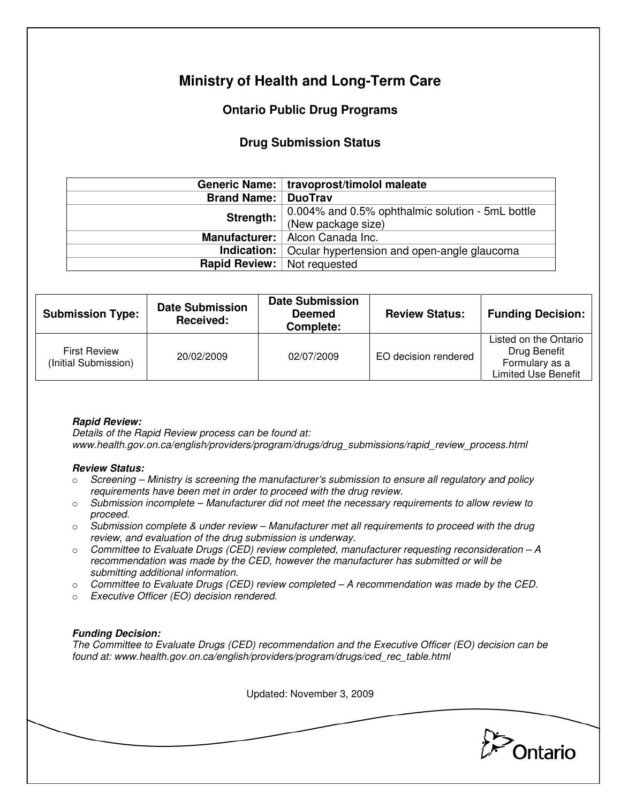# **Ministry of Health and Long-Term Care**

## **Ontario Public Drug Programs**

### **Drug Submission Status**

|                    | Generic Name:   travoprost/timolol maleate                     |  |  |
|--------------------|----------------------------------------------------------------|--|--|
| <b>Brand Name:</b> | <b>DuoTrav</b>                                                 |  |  |
| Strength:          | 0.004% and 0.5% ophthalmic solution - 5mL bottle               |  |  |
|                    | (New package size)                                             |  |  |
|                    | Manufacturer:   Alcon Canada Inc.                              |  |  |
|                    | <b>Indication:</b> Ocular hypertension and open-angle glaucoma |  |  |
|                    | <b>Rapid Review:</b> Not requested                             |  |  |

| <b>Submission Type:</b>                     | <b>Date Submission</b><br>Received: | <b>Date Submission</b><br><b>Deemed</b><br>Complete: | <b>Review Status:</b> | <b>Funding Decision:</b>                                                              |
|---------------------------------------------|-------------------------------------|------------------------------------------------------|-----------------------|---------------------------------------------------------------------------------------|
| <b>First Review</b><br>(Initial Submission) | 20/02/2009                          | 02/07/2009                                           | EO decision rendered  | Listed on the Ontario<br>Drug Benefit<br>Formulary as a<br><b>Limited Use Benefit</b> |

### **Rapid Review:**

Details of the Rapid Review process can be found at: www.health.gov.on.ca/english/providers/program/drugs/drug\_submissions/rapid\_review\_process.html

#### **Review Status:**

- $\circ$  Screening Ministry is screening the manufacturer's submission to ensure all regulatory and policy requirements have been met in order to proceed with the drug review.
- $\circ$  Submission incomplete Manufacturer did not meet the necessary requirements to allow review to proceed.
- $\circ$  Submission complete & under review Manufacturer met all requirements to proceed with the drug review, and evaluation of the drug submission is underway.
- $\circ$  Committee to Evaluate Drugs (CED) review completed, manufacturer requesting reconsideration  $-A$ recommendation was made by the CED, however the manufacturer has submitted or will be submitting additional information.
- $\circ$  Committee to Evaluate Drugs (CED) review completed A recommendation was made by the CED.
- o Executive Officer (EO) decision rendered.

### **Funding Decision:**

The Committee to Evaluate Drugs (CED) recommendation and the Executive Officer (EO) decision can be found at: www.health.gov.on.ca/english/providers/program/drugs/ced\_rec\_table.html

Updated: November 3, 2009